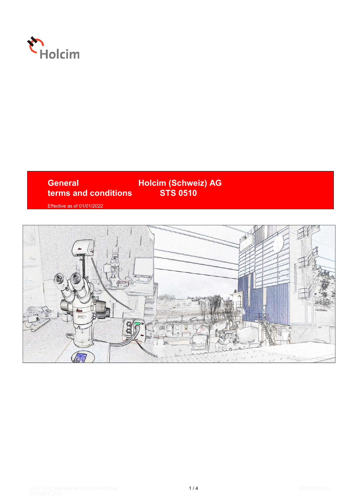

# **General Holcim (Schweiz) AG<br>
terms and conditions STS 0510 terms and conditions**

Effective as of 01/01/2022

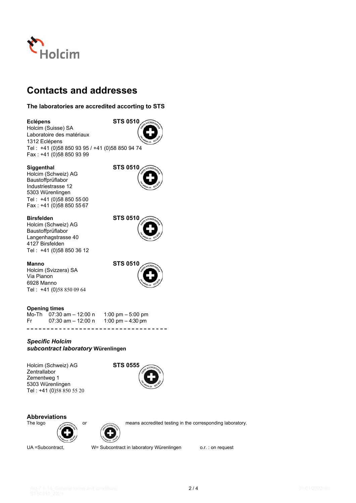

# **Contacts and addresses**

# **The laboratories are accredited accorting to STS**

# **Eclépens STS 0510**

Holcim (Suisse) SA Laboratoire des matériaux 1312 Eclépens Tel : +41 (0)58 850 93 95 / +41 (0)58 850 94 74 Fax : +41 (0)58 850 93 99

# **Siggenthal STS 0510**

Holcim (Schweiz) AG Baustoffprüflabor Industriestrasse 12 5303 Würenlingen Tel : +41 (0)58 850 55 00 Fax : +41 (0)58 850 55 67

Holcim (Schweiz) AG Baustoffprüflabor Langenhagstrasse 40 4127 Birsfelden Tel : +41 (0)58 850 36 12

Holcim (Svizzera) SA Via Pianon 6928 Manno Tel : +41 (0)58 850 09 64

**Opening times** 

Mo-Th 07:30 am – 12:00 n 1:00 pm – 5:00 pm<br>Fr 07:30 am – 12:00 n 1:00 pm – 4:30 pm Fr  $07:30$  am  $-12:00$  n ------------------------------------

# *Specific Holcim subcontract laboratory* **Würenlingen**

Holcim (Schweiz) AG **STS 0555 Zentrallabor** Zementweg 1 5303 Würenlingen Tel : +41 (0)58 850 55 20



# **Abbreviations**



or means accredited testing in the corresponding laboratory.



UA =Subcontract, W= Subcontract in laboratory Würenlingen o.r. : on request



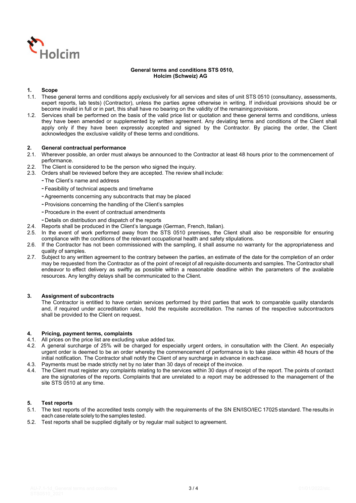

# **General terms and conditions STS 0510, Holcim (Schweiz) AG**

# **1. Scope**

- 1.1. These general terms and conditions apply exclusively for all services and sites of unit STS 0510 (consultancy, assessments, expert reports, lab tests) (Contractor), unless the parties agree otherwise in writing. If individual provisions should be or become invalid in full or in part, this shall have no bearing on the validity of the remaining provisions.
- 1.2. Services shall be performed on the basis of the valid price list or quotation and these general terms and conditions, unless they have been amended or supplemented by written agreement. Any deviating terms and conditions of the Client shall apply only if they have been expressly accepted and signed by the Contractor. By placing the order, the Client acknowledges the exclusive validity of these terms and conditions.

### **2. General contractual performance**

- 2.1. Wherever possible, an order must always be announced to the Contractor at least 48 hours prior to the commencement of performance.
- 2.2. The Client is considered to be the person who signed the inquiry.
- 2.3. Orders shall be reviewed before they are accepted. The review shall include:
	- The Client's name and address
	- Feasibility of technical aspects and timeframe
	- Agreements concerning any subcontracts that may be placed
	- Provisions concerning the handling of the Client's samples
	- Procedure in the event of contractual amendments
	- Details on distribution and dispatch of the reports
- 2.4. Reports shall be produced in the Client's language (German, French, Italian).
- 2.5. In the event of work performed away from the STS 0510 premises, the Client shall also be responsible for ensuring compliance with the conditions of the relevant occupational health and safety stipulations.
- 2.6. If the Contractor has not been commissioned with the sampling, it shall assume no warranty for the appropriateness and quality of samples.
- 2.7. Subject to any written agreement to the contrary between the parties, an estimate of the date for the completion of an order may be requested from the Contractor as of the point of receipt of all requisite documents and samples. The Contractor shall endeavor to effect delivery as swiftly as possible within a reasonable deadline within the parameters of the available resources. Any lengthy delays shall be communicated to the Client.

#### **3. Assignment of subcontracts**

The Contractor is entitled to have certain services performed by third parties that work to comparable quality standards and, if required under accreditation rules, hold the requisite accreditation. The names of the respective subcontractors shall be provided to the Client on request.

#### **4. Pricing, payment terms, complaints**

- 4.1. All prices on the price list are excluding value added tax.
- 4.2. A general surcharge of 25% will be charged for especially urgent orders, in consultation with the Client. An especially urgent order is deemed to be an order whereby the commencement of performance is to take place within 48 hours of the initial notification. The Contractor shall notify the Client of any surcharge in advance in each case.
- 4.3. Payments must be made strictly net by no later than 30 days of receipt of the invoice.
- 4.4. The Client must register any complaints relating to the services within 30 days of receipt of the report. The points of contact are the signatories of the reports. Complaints that are unrelated to a report may be addressed to the management of the site STS 0510 at any time.

#### **5. Test reports**

- 5.1. The test reports of the accredited tests comply with the requirements of the SN EN/ISO/IEC 17025 standard. The results in each case relate solely to the samples tested.
- 5.2. Test reports shall be supplied digitally or by regular mail subject to agreement.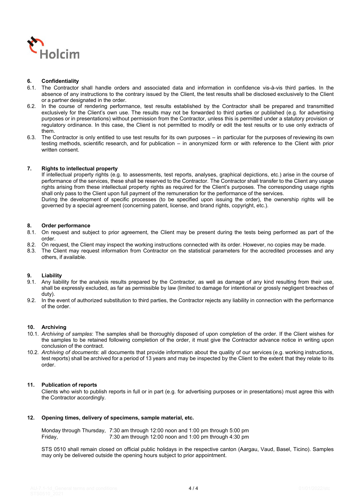

# **6. Confidentiality**

- 6.1. The Contractor shall handle orders and associated data and information in confidence vis-à-vis third parties. In the absence of any instructions to the contrary issued by the Client, the test results shall be disclosed exclusively to the Client or a partner designated in the order.
- 6.2. In the course of rendering performance, test results established by the Contractor shall be prepared and transmitted exclusively for the Client's own use. The results may not be forwarded to third parties or published (e.g. for advertising purposes or in presentations) without permission from the Contractor, unless this is permitted under a statutory provision or regulatory ordinance. In this case, the Client is not permitted to modify or edit the test results or to use only extracts of them.
- 6.3. The Contractor is only entitled to use test results for its own purposes in particular for the purposes of reviewing its own testing methods, scientific research, and for publication – in anonymized form or with reference to the Client with prior written consent.

### **7. Rights to intellectual property**

If intellectual property rights (e.g. to assessments, test reports, analyses, graphical depictions, etc.) arise in the course of performance of the services, these shall be reserved to the Contractor. The Contractor shall transfer to the Client any usage rights arising from these intellectual property rights as required for the Client's purposes. The corresponding usage rights shall only pass to the Client upon full payment of the remuneration for the performance of the services. During the development of specific processes (to be specified upon issuing the order), the ownership rights will be governed by a special agreement (concerning patent, license, and brand rights, copyright, etc.).

### **8. Order performance**

- 8.1. On request and subject to prior agreement, the Client may be present during the tests being performed as part of the order.
- 8.2. On request, the Client may inspect the working instructions connected with its order. However, no copies may be made.<br>8.3. The Client may request information from Contractor on the statistical parameters for the accre
- The Client may request information from Contractor on the statistical parameters for the accredited processes and any others, if available.

# **9. Liability**

- 9.1. Any liability for the analysis results prepared by the Contractor, as well as damage of any kind resulting from their use, shall be expressly excluded, as far as permissible by law (limited to damage for intentional or grossly negligent breaches of duty).
- 9.2. In the event of authorized substitution to third parties, the Contractor rejects any liability in connection with the performance of the order.

#### **10. Archiving**

- 10.1. *Archiving of samples*: The samples shall be thoroughly disposed of upon completion of the order. If the Client wishes for the samples to be retained following completion of the order, it must give the Contractor advance notice in writing upon conclusion of the contract.
- 10.2. *Archiving of documents*: all documents that provide information about the quality of our services (e.g. working instructions, test reports) shall be archived for a period of 13 years and may be inspected by the Client to the extent that they relate to its order.

#### **11. Publication of reports**

Clients who wish to publish reports in full or in part (e.g. for advertising purposes or in presentations) must agree this with the Contractor accordingly.

#### **12. Opening times, delivery of specimens, sample material, etc.**

Monday through Thursday, 7:30 am through 12:00 noon and 1:00 pm through 5:00 pm Friday, 7:30 am through 12:00 noon and 1:00 pm through 4:30 pm

STS 0510 shall remain closed on official public holidays in the respective canton (Aargau, Vaud, Basel, Ticino). Samples may only be delivered outside the opening hours subject to prior appointment.